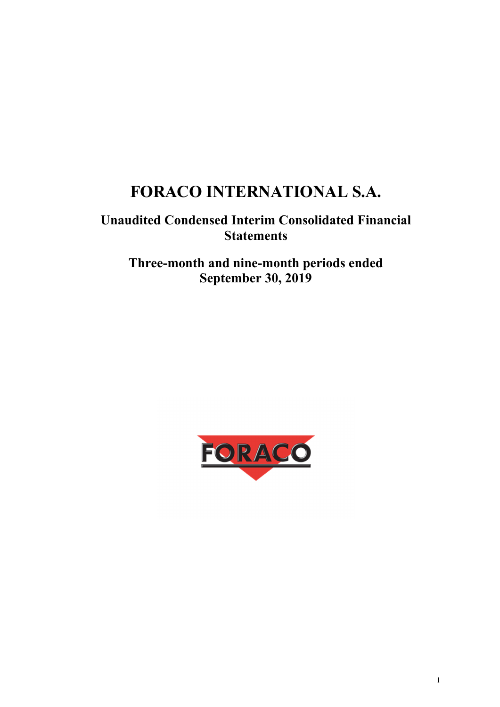# **FORACO INTERNATIONAL S.A.**

## **Unaudited Condensed Interim Consolidated Financial Statements**

## **Three-month and nine-month periods ended September 30, 2019**

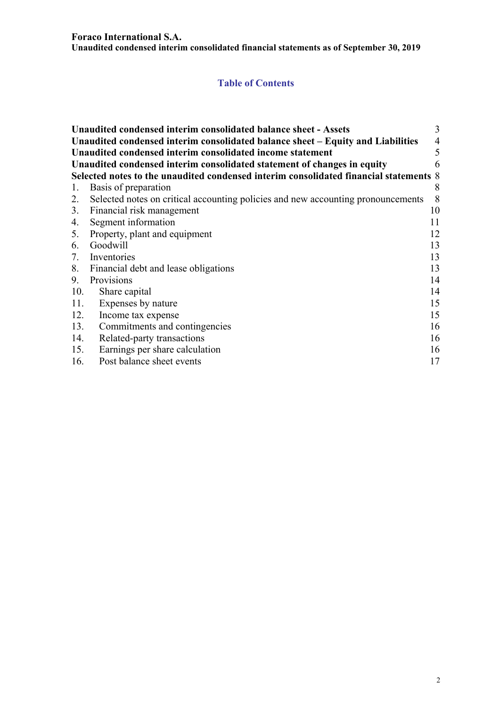#### **Foraco International S.A.**

**Unaudited condensed interim consolidated financial statements as of September 30, 2019** 

## **Table of Contents**

|     | Unaudited condensed interim consolidated balance sheet - Assets                       | 3              |
|-----|---------------------------------------------------------------------------------------|----------------|
|     | Unaudited condensed interim consolidated balance sheet - Equity and Liabilities       | $\overline{4}$ |
|     | Unaudited condensed interim consolidated income statement                             | 5              |
|     | Unaudited condensed interim consolidated statement of changes in equity               | 6              |
|     | Selected notes to the unaudited condensed interim consolidated financial statements 8 |                |
| 1.  | Basis of preparation                                                                  | 8              |
| 2.  | Selected notes on critical accounting policies and new accounting pronouncements      | 8              |
|     | 3. Financial risk management                                                          | 10             |
| 4.  | Segment information                                                                   | 11             |
|     | 5. Property, plant and equipment                                                      | 12             |
|     | 6. Goodwill                                                                           | 13             |
| 7.  | Inventories                                                                           | 13             |
|     | 8. Financial debt and lease obligations                                               | 13             |
| 9.  | Provisions                                                                            | 14             |
| 10. | Share capital                                                                         | 14             |
| 11. | Expenses by nature                                                                    | 15             |
| 12. | Income tax expense                                                                    | 15             |
| 13. | Commitments and contingencies                                                         | 16             |
| 14. | Related-party transactions                                                            | 16             |
| 15. | Earnings per share calculation                                                        | 16             |
| 16. | Post balance sheet events                                                             | 17             |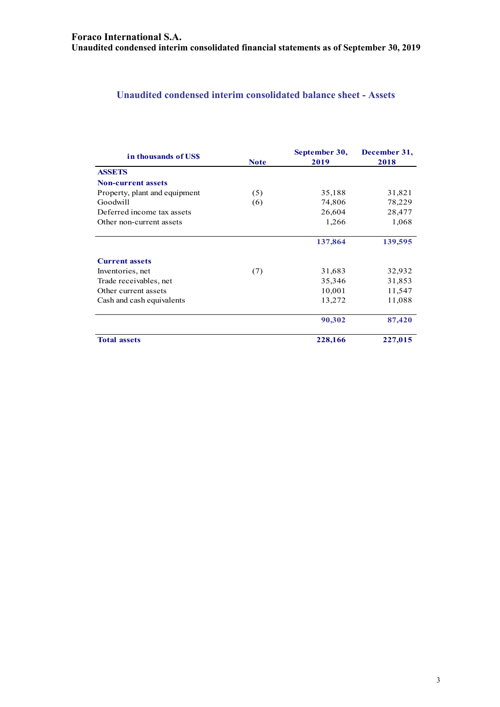## **Unaudited condensed interim consolidated balance sheet - Assets**

| in thousands of USS           | <b>Note</b> | September 30,<br>2019 | December 31,<br>2018 |
|-------------------------------|-------------|-----------------------|----------------------|
| <b>ASSETS</b>                 |             |                       |                      |
| <b>Non-current assets</b>     |             |                       |                      |
| Property, plant and equipment | (5)         | 35,188                | 31,821               |
| Goodwill                      | (6)         | 74,806                | 78,229               |
| Deferred income tax assets    |             | 26,604                | 28,477               |
| Other non-current assets      |             | 1,266                 | 1,068                |
|                               |             | 137,864               | 139,595              |
| <b>Current assets</b>         |             |                       |                      |
| Inventories, net              | (7)         | 31,683                | 32,932               |
| Trade receivables, net        |             | 35,346                | 31,853               |
| Other current assets          |             | 10,001                | 11,547               |
| Cash and cash equivalents     |             | 13,272                | 11,088               |
|                               |             | 90,302                | 87,420               |
| <b>Total assets</b>           |             | 228,166               | 227,015              |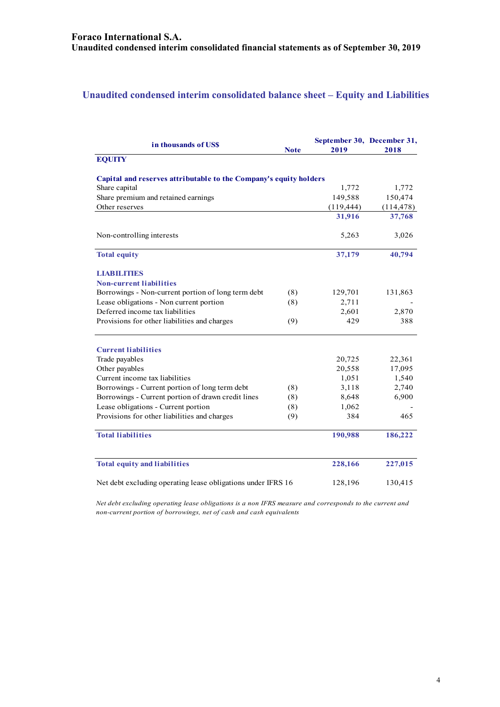## **Unaudited condensed interim consolidated balance sheet – Equity and Liabilities**

| in thousands of US\$                                              | Note | September 30, December 31,<br>2019 | 2018       |
|-------------------------------------------------------------------|------|------------------------------------|------------|
| <b>EQUITY</b>                                                     |      |                                    |            |
| Capital and reserves attributable to the Company's equity holders |      |                                    |            |
| Share capital                                                     |      | 1,772                              | 1,772      |
| Share premium and retained earnings                               |      | 149,588                            | 150,474    |
| Other reserves                                                    |      | (119, 444)                         | (114, 478) |
|                                                                   |      | 31,916                             | 37,768     |
| Non-controlling interests                                         |      | 5,263                              | 3,026      |
| <b>Total equity</b>                                               |      | 37,179                             | 40,794     |
| <b>LIABILITIES</b>                                                |      |                                    |            |
| <b>Non-current liabilities</b>                                    |      |                                    |            |
| Borrowings - Non-current portion of long term debt                | (8)  | 129,701                            | 131,863    |
| Lease obligations - Non current portion                           | (8)  | 2,711                              |            |
| Deferred income tax liabilities                                   |      | 2,601                              | 2,870      |
| Provisions for other liabilities and charges                      | (9)  | 429                                | 388        |
| <b>Current liabilities</b>                                        |      |                                    |            |
| Trade payables                                                    |      | 20,725                             | 22,361     |
| Other payables                                                    |      | 20,558                             | 17,095     |
| Current income tax liabilities                                    |      | 1,051                              | 1,540      |
| Borrowings - Current portion of long term debt                    | (8)  | 3,118                              | 2,740      |
| Borrowings - Current portion of drawn credit lines                | (8)  | 8,648                              | 6,900      |
| Lease obligations - Current portion                               | (8)  | 1,062                              |            |
| Provisions for other liabilities and charges                      | (9)  | 384                                | 465        |
| <b>Total liabilities</b>                                          |      | 190,988                            | 186,222    |
| <b>Total equity and liabilities</b>                               |      | 228,166                            | 227,015    |
| Net debt excluding operating lease obligations under IFRS 16      |      | 128,196                            | 130,415    |

*Net debt excluding operating lease obligations is a non IFRS measure and corresponds to the current and non-current portion of borrowings, net of cash and cash equivalents*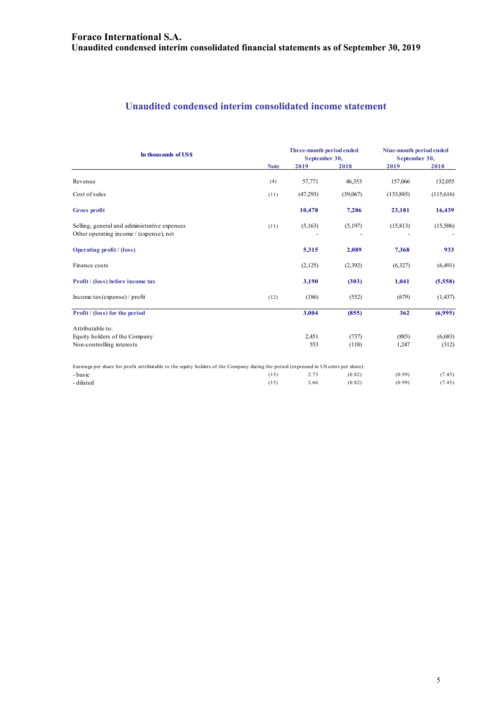## **Unaudited condensed interim consolidated income statement**

| In thousands of US\$                                                                                                                 |             | Three-month period ended<br>September 30, |          | Nine-month period ended<br>September 30, |           |
|--------------------------------------------------------------------------------------------------------------------------------------|-------------|-------------------------------------------|----------|------------------------------------------|-----------|
|                                                                                                                                      | <b>Note</b> | 2019                                      | 2018     | 2019                                     | 2018      |
| Revenue                                                                                                                              | (4)         | 57,771                                    | 46,353   | 157,066                                  | 132,055   |
| Cost of sales                                                                                                                        | (11)        | (47,293)                                  | (39,067) | (133, 885)                               | (115,616) |
| <b>Gross profit</b>                                                                                                                  |             | 10,478                                    | 7,286    | 23,181                                   | 16,439    |
| Selling, general and administrative expenses<br>Other operating income / (expense), net                                              | (11)        | (5,163)                                   | (5,197)  | (15, 813)                                | (15,506)  |
| <b>Operating profit</b> / (loss)                                                                                                     |             | 5,315                                     | 2,089    | 7,368                                    | 933       |
| Finance costs                                                                                                                        |             | (2,125)                                   | (2,392)  | (6,327)                                  | (6,491)   |
| Profit / (loss) before income tax                                                                                                    |             | 3,190                                     | (303)    | 1,041                                    | (5,558)   |
| Income tax (expense) / profit                                                                                                        | (12)        | (186)                                     | (552)    | (679)                                    | (1, 437)  |
| <b>Profit</b> / (loss) for the period                                                                                                |             | 3,004                                     | (855)    | 362                                      | (6,995)   |
| Attributable to:                                                                                                                     |             |                                           |          |                                          |           |
| Equity holders of the Company                                                                                                        |             | 2,451                                     | (737)    | (885)                                    | (6,683)   |
| Non-controlling interests                                                                                                            |             | 553                                       | (118)    | 1,247                                    | (312)     |
| Earnings per share for profit attributable to the equity holders of the Company during the period (expressed in US cents per share): |             |                                           |          |                                          |           |
| - basic                                                                                                                              | (15)        | 2.73                                      | (0.82)   | (0.99)                                   | (7.45)    |
| - diluted                                                                                                                            | (15)        | 2.66                                      | (0.82)   | (0.99)                                   | (7.45)    |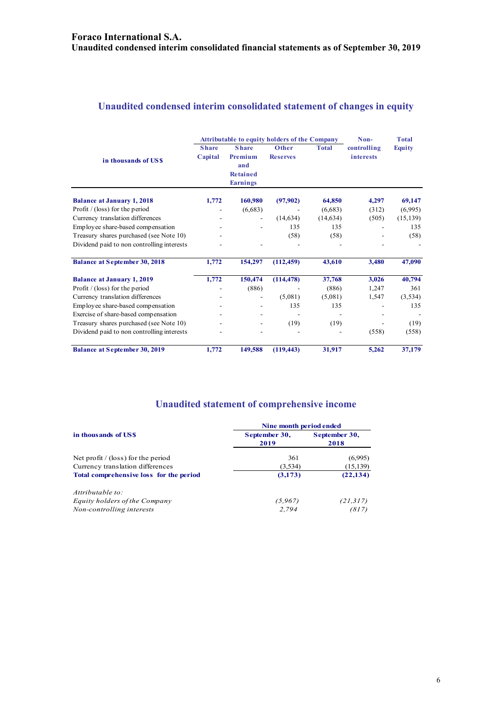## **Unaudited condensed interim consolidated statement of changes in equity**

|                                            | <b>Attributable to equity holders of the Company</b> |                                                                      |                          |              | Non-                            | <b>Total</b>  |
|--------------------------------------------|------------------------------------------------------|----------------------------------------------------------------------|--------------------------|--------------|---------------------------------|---------------|
| in thousands of USS                        | <b>Share</b><br>Capital                              | <b>Share</b><br>Premium<br>and<br><b>Retained</b><br><b>Earnings</b> | Other<br><b>Reserves</b> | <b>Total</b> | controlling<br><i>interests</i> | <b>Equity</b> |
| <b>Balance at January 1, 2018</b>          | 1,772                                                | 160,980                                                              | (97,902)                 | 64,850       | 4,297                           | 69,147        |
| Profit $/$ (loss) for the period           |                                                      | (6,683)                                                              |                          | (6,683)      | (312)                           | (6,995)       |
| Currency translation differences           |                                                      | $\overline{\phantom{a}}$                                             | (14, 634)                | (14, 634)    | (505)                           | (15, 139)     |
| Employee share-based compensation          |                                                      |                                                                      | 135                      | 135          |                                 | 135           |
| Treasury shares purchased (see Note 10)    |                                                      |                                                                      | (58)                     | (58)         |                                 | (58)          |
| Dividend paid to non controlling interests |                                                      |                                                                      |                          |              |                                 |               |
| <b>Balance at September 30, 2018</b>       | 1,772                                                | 154,297                                                              | (112, 459)               | 43,610       | 3,480                           | 47,090        |
| <b>Balance at January 1, 2019</b>          | 1,772                                                | 150,474                                                              | (114, 478)               | 37,768       | 3,026                           | 40,794        |
| Profit $/$ (loss) for the period           |                                                      | (886)                                                                |                          | (886)        | 1,247                           | 361           |
| Currency translation differences           |                                                      |                                                                      | (5,081)                  | (5,081)      | 1,547                           | (3,534)       |
| Employee share-based compensation          |                                                      |                                                                      | 135                      | 135          |                                 | 135           |
| Exercise of share-based compensation       |                                                      |                                                                      |                          |              |                                 |               |
| Treasury shares purchased (see Note 10)    |                                                      |                                                                      | (19)                     | (19)         |                                 | (19)          |
| Dividend paid to non controlling interests |                                                      |                                                                      |                          |              | (558)                           | (558)         |
| <b>Balance at September 30, 2019</b>       | 1,772                                                | 149,588                                                              | (119, 443)               | 31,917       | 5,262                           | 37,179        |

## **Unaudited statement of comprehensive income**

| Nine month period ended                            |                       |  |  |  |
|----------------------------------------------------|-----------------------|--|--|--|
| September 30,<br>2019                              | September 30,<br>2018 |  |  |  |
| 361                                                | (6,995)               |  |  |  |
| (3,534)                                            | (15, 139)             |  |  |  |
| Total comprehensive loss for the period<br>(3,173) |                       |  |  |  |
|                                                    |                       |  |  |  |
| (5,967)                                            | (21, 317)             |  |  |  |
| 2.794                                              | (817)                 |  |  |  |
|                                                    |                       |  |  |  |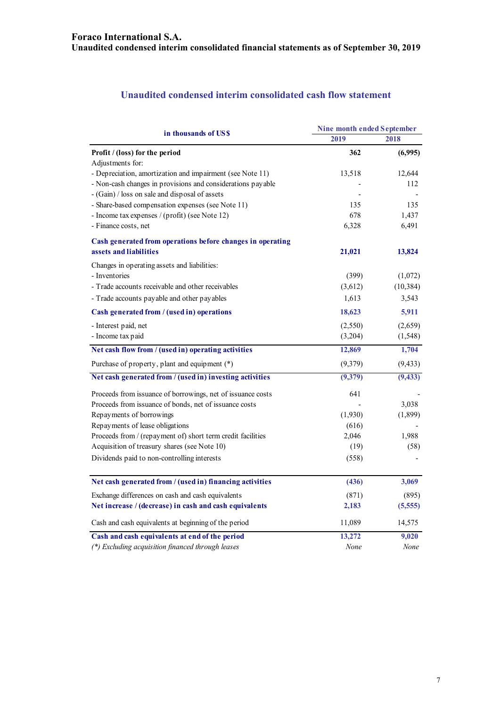## **Unaudited condensed interim consolidated cash flow statement**

| in thousands of US\$                                        | Nine month ended September |           |  |  |
|-------------------------------------------------------------|----------------------------|-----------|--|--|
|                                                             | 2019                       | 2018      |  |  |
| Profit / (loss) for the period                              | 362                        | (6,995)   |  |  |
| Adjustments for:                                            |                            |           |  |  |
| - Depreciation, amortization and impairment (see Note 11)   | 13,518                     | 12,644    |  |  |
| - Non-cash changes in provisions and considerations payable |                            | 112       |  |  |
| - (Gain) / loss on sale and disposal of assets              |                            |           |  |  |
| - Share-based compensation expenses (see Note 11)           | 135                        | 135       |  |  |
| - Income tax expenses / (profit) (see Note 12)              | 678                        | 1,437     |  |  |
| - Finance costs, net                                        | 6,328                      | 6,491     |  |  |
| Cash generated from operations before changes in operating  |                            |           |  |  |
| assets and liabilities                                      | 21,021                     | 13,824    |  |  |
| Changes in operating assets and liabilities:                |                            |           |  |  |
| - Inventories                                               | (399)                      | (1,072)   |  |  |
| - Trade accounts receivable and other receivables           | (3,612)                    | (10, 384) |  |  |
| - Trade accounts payable and other payables                 | 1,613                      | 3,543     |  |  |
| Cash generated from / (used in) operations                  | 18,623                     | 5,911     |  |  |
| - Interest paid, net                                        | (2,550)                    | (2,659)   |  |  |
| - Income tax paid                                           | (3,204)                    | (1, 548)  |  |  |
| Net cash flow from / (used in) operating activities         | 12,869                     | 1,704     |  |  |
| Purchase of property, plant and equipment (*)               | (9,379)                    | (9, 433)  |  |  |
| Net cash generated from / (used in) investing activities    | (9,379)                    | (9, 433)  |  |  |
| Proceeds from issuance of borrowings, net of issuance costs | 641                        |           |  |  |
| Proceeds from issuance of bonds, net of issuance costs      |                            | 3,038     |  |  |
| Repayments of borrowings                                    | (1,930)                    | (1,899)   |  |  |
| Repayments of lease obligations                             | (616)                      |           |  |  |
| Proceeds from / (repayment of) short term credit facilities | 2,046                      | 1,988     |  |  |
| Acquisition of treasury shares (see Note 10)                | (19)                       | (58)      |  |  |
| Dividends paid to non-controlling interests                 | (558)                      |           |  |  |
| Net cash generated from / (used in) financing activities    | (436)                      | 3,069     |  |  |
|                                                             |                            |           |  |  |
| Exchange differences on cash and cash equivalents           | (871)                      | (895)     |  |  |
| Net increase / (decrease) in cash and cash equivalents      | 2,183                      | (5,555)   |  |  |
| Cash and cash equivalents at beginning of the period        | 11,089                     | 14,575    |  |  |
| Cash and cash equivalents at end of the period              | 13,272                     | 9,020     |  |  |
| (*) Excluding acquisition financed through leases           | None                       | None      |  |  |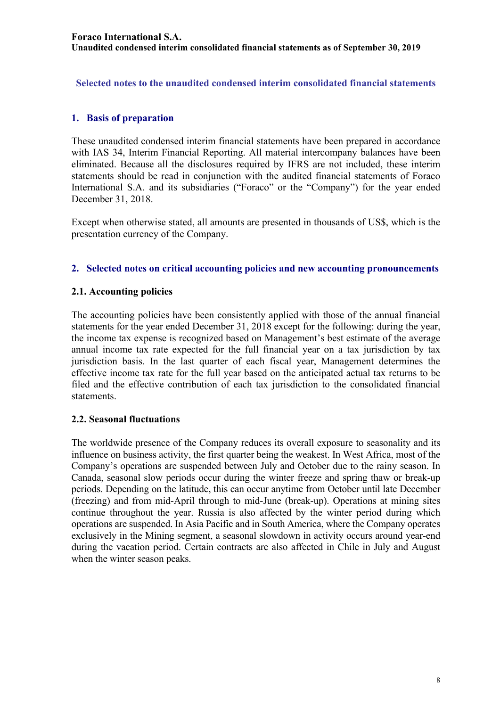**Selected notes to the unaudited condensed interim consolidated financial statements** 

## **1. Basis of preparation**

These unaudited condensed interim financial statements have been prepared in accordance with IAS 34, Interim Financial Reporting. All material intercompany balances have been eliminated. Because all the disclosures required by IFRS are not included, these interim statements should be read in conjunction with the audited financial statements of Foraco International S.A. and its subsidiaries ("Foraco" or the "Company") for the year ended December 31, 2018.

Except when otherwise stated, all amounts are presented in thousands of US\$, which is the presentation currency of the Company.

### **2. Selected notes on critical accounting policies and new accounting pronouncements**

### **2.1. Accounting policies**

The accounting policies have been consistently applied with those of the annual financial statements for the year ended December 31, 2018 except for the following: during the year, the income tax expense is recognized based on Management's best estimate of the average annual income tax rate expected for the full financial year on a tax jurisdiction by tax jurisdiction basis. In the last quarter of each fiscal year, Management determines the effective income tax rate for the full year based on the anticipated actual tax returns to be filed and the effective contribution of each tax jurisdiction to the consolidated financial statements.

### **2.2. Seasonal fluctuations**

The worldwide presence of the Company reduces its overall exposure to seasonality and its influence on business activity, the first quarter being the weakest. In West Africa, most of the Company's operations are suspended between July and October due to the rainy season. In Canada, seasonal slow periods occur during the winter freeze and spring thaw or break-up periods. Depending on the latitude, this can occur anytime from October until late December (freezing) and from mid-April through to mid-June (break-up). Operations at mining sites continue throughout the year. Russia is also affected by the winter period during which operations are suspended. In Asia Pacific and in South America, where the Company operates exclusively in the Mining segment, a seasonal slowdown in activity occurs around year-end during the vacation period. Certain contracts are also affected in Chile in July and August when the winter season peaks.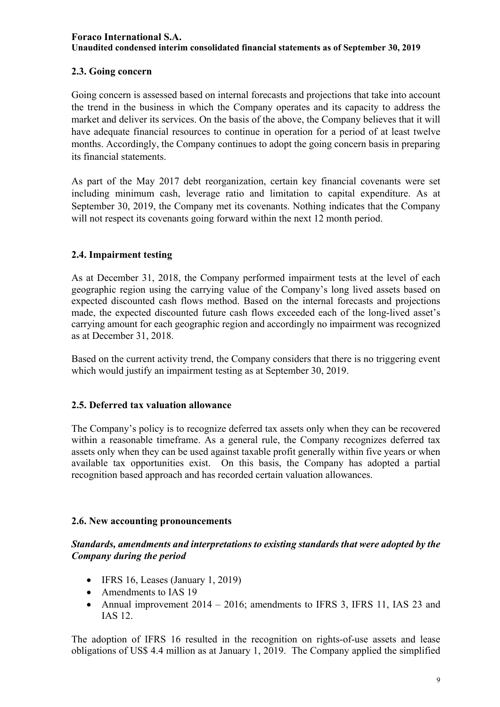## **2.3. Going concern**

Going concern is assessed based on internal forecasts and projections that take into account the trend in the business in which the Company operates and its capacity to address the market and deliver its services. On the basis of the above, the Company believes that it will have adequate financial resources to continue in operation for a period of at least twelve months. Accordingly, the Company continues to adopt the going concern basis in preparing its financial statements.

As part of the May 2017 debt reorganization, certain key financial covenants were set including minimum cash, leverage ratio and limitation to capital expenditure. As at September 30, 2019, the Company met its covenants. Nothing indicates that the Company will not respect its covenants going forward within the next 12 month period.

## **2.4. Impairment testing**

As at December 31, 2018, the Company performed impairment tests at the level of each geographic region using the carrying value of the Company's long lived assets based on expected discounted cash flows method. Based on the internal forecasts and projections made, the expected discounted future cash flows exceeded each of the long-lived asset's carrying amount for each geographic region and accordingly no impairment was recognized as at December 31, 2018.

Based on the current activity trend, the Company considers that there is no triggering event which would justify an impairment testing as at September 30, 2019.

## **2.5. Deferred tax valuation allowance**

The Company's policy is to recognize deferred tax assets only when they can be recovered within a reasonable timeframe. As a general rule, the Company recognizes deferred tax assets only when they can be used against taxable profit generally within five years or when available tax opportunities exist. On this basis, the Company has adopted a partial recognition based approach and has recorded certain valuation allowances.

## **2.6. New accounting pronouncements**

## *Standards, amendments and interpretations to existing standards that were adopted by the Company during the period*

- $\bullet$  IFRS 16, Leases (January 1, 2019)
- Amendments to IAS 19
- Annual improvement 2014 2016; amendments to IFRS 3, IFRS 11, IAS 23 and IAS 12.

The adoption of IFRS 16 resulted in the recognition on rights-of-use assets and lease obligations of US\$ 4.4 million as at January 1, 2019. The Company applied the simplified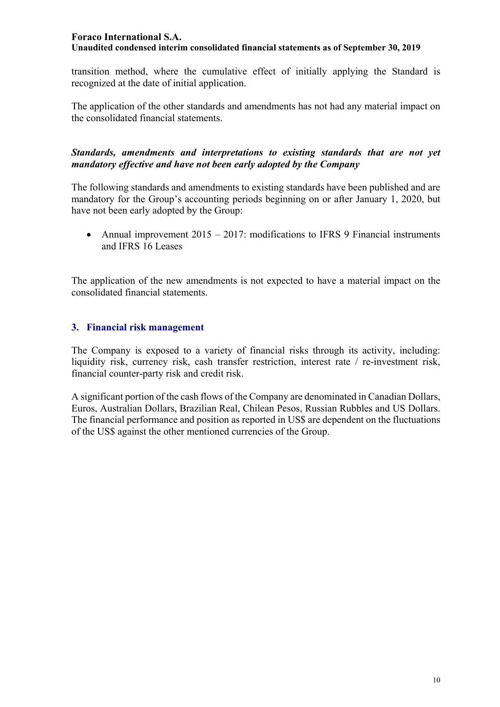transition method, where the cumulative effect of initially applying the Standard is recognized at the date of initial application.

The application of the other standards and amendments has not had any material impact on the consolidated financial statements.

### *Standards, amendments and interpretations to existing standards that are not yet mandatory effective and have not been early adopted by the Company*

The following standards and amendments to existing standards have been published and are mandatory for the Group's accounting periods beginning on or after January 1, 2020, but have not been early adopted by the Group:

• Annual improvement  $2015 - 2017$ : modifications to IFRS 9 Financial instruments and IFRS 16 Leases

The application of the new amendments is not expected to have a material impact on the consolidated financial statements.

## **3. Financial risk management**

The Company is exposed to a variety of financial risks through its activity, including: liquidity risk, currency risk, cash transfer restriction, interest rate / re-investment risk, financial counter-party risk and credit risk.

A significant portion of the cash flows of the Company are denominated in Canadian Dollars, Euros, Australian Dollars, Brazilian Real, Chilean Pesos, Russian Rubbles and US Dollars. The financial performance and position as reported in US\$ are dependent on the fluctuations of the US\$ against the other mentioned currencies of the Group.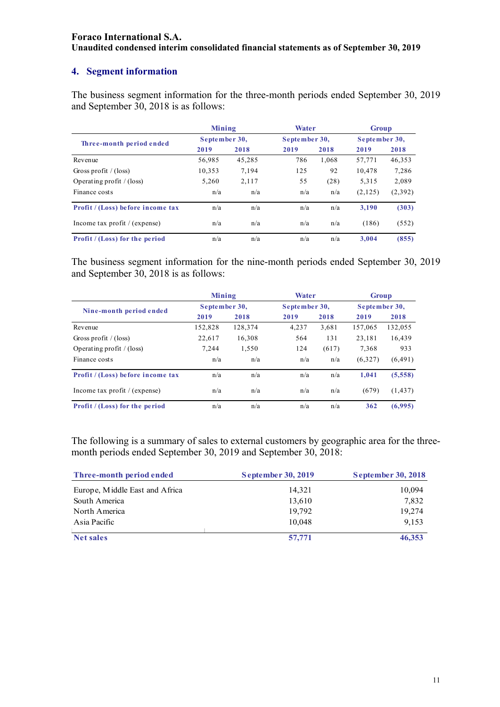## **4. Segment information**

The business segment information for the three-month periods ended September 30, 2019 and September 30, 2018 is as follows:

|                                   | Mining        |        | Water         |       | <b>Group</b>  |         |
|-----------------------------------|---------------|--------|---------------|-------|---------------|---------|
| Three-month period ended          | September 30, |        | September 30, |       | September 30, |         |
|                                   | 2019          | 2018   | 2019          | 2018  | 2019          | 2018    |
| Revenue                           | 56,985        | 45,285 | 786           | 1,068 | 57,771        | 46,353  |
| Gross profit / $(\text{loss})$    | 10,353        | 7,194  | 125           | 92    | 10.478        | 7,286   |
| Operating profit $/$ (loss)       | 5,260         | 2,117  | 55            | (28)  | 5,315         | 2,089   |
| Finance costs                     | n/a           | n/a    | n/a           | n/a   | (2,125)       | (2,392) |
| Profit / (Loss) before income tax | n/a           | n/a    | n/a           | n/a   | 3.190         | (303)   |
| Income tax profit $/(expense)$    | n/a           | n/a    | n/a           | n/a   | (186)         | (552)   |
| Profit / (Loss) for the period    | n/a           | n/a    | n/a           | n/a   | 3.004         | (855)   |

The business segment information for the nine-month periods ended September 30, 2019 and September 30, 2018 is as follows:

|                                       | Mining        |         | Water         |       |               | <b>Group</b> |
|---------------------------------------|---------------|---------|---------------|-------|---------------|--------------|
| Nine-month period ended               | September 30, |         | September 30, |       | September 30, |              |
|                                       | 2019          | 2018    | 2019          | 2018  | 2019          | 2018         |
| Revenue                               | 152,828       | 128,374 | 4,237         | 3,681 | 157,065       | 132,055      |
| Gross profit / $(\text{loss})$        | 22,617        | 16,308  | 564           | 131   | 23.181        | 16,439       |
| Operating profit $/$ (loss)           | 7,244         | 1,550   | 124           | (617) | 7,368         | 933          |
| Finance costs                         | n/a           | n/a     | n/a           | n/a   | (6,327)       | (6, 491)     |
| Profit / (Loss) before income tax     | n/a           | n/a     | n/a           | n/a   | 1.041         | (5,558)      |
| Income tax profit $/$ (expense)       | n/a           | n/a     | n/a           | n/a   | (679)         | (1, 437)     |
| <b>Profit</b> / (Loss) for the period | n/a           | n/a     | n/a           | n/a   | 362           | (6,995)      |

The following is a summary of sales to external customers by geographic area for the threemonth periods ended September 30, 2019 and September 30, 2018:

| Three-month period ended       | <b>September 30, 2019</b> | <b>September 30, 2018</b> |
|--------------------------------|---------------------------|---------------------------|
| Europe, Middle East and Africa | 14,321                    | 10,094                    |
| South America                  | 13,610                    | 7,832                     |
| North America                  | 19,792                    | 19,274                    |
| Asia Pacific                   | 10.048                    | 9.153                     |
| <b>Net sales</b>               | 57,771                    | 46,353                    |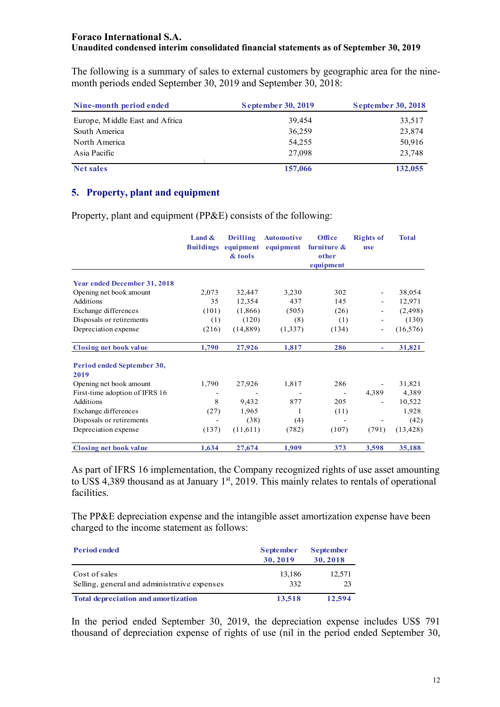The following is a summary of sales to external customers by geographic area for the ninemonth periods ended September 30, 2019 and September 30, 2018:

| Nine-month period ended        | <b>September 30, 2019</b> | <b>September 30, 2018</b> |
|--------------------------------|---------------------------|---------------------------|
| Europe, Middle East and Africa | 39,454                    | 33,517                    |
| South America                  | 36,259                    | 23,874                    |
| North America                  | 54,255                    | 50,916                    |
| Asia Pacific                   | 27,098                    | 23,748                    |
| <b>Net sales</b>               | 157,066                   | 132,055                   |

## **5. Property, plant and equipment**

Property, plant and equipment (PP&E) consists of the following:

|                                     | Land $\&$<br><b>Buildings</b> | <b>Drilling</b><br>equipment<br>& tools | <b>Automotive</b><br>equipment | Office<br>furniture &<br>other<br>equipment | <b>Rights of</b><br><b>use</b> | <b>Total</b> |
|-------------------------------------|-------------------------------|-----------------------------------------|--------------------------------|---------------------------------------------|--------------------------------|--------------|
|                                     |                               |                                         |                                |                                             |                                |              |
| <b>Year ended December 31, 2018</b> |                               |                                         |                                |                                             |                                |              |
| Opening net book amount             | 2,073                         | 32,447                                  | 3,230                          | 302                                         |                                | 38,054       |
| Additions                           | 35                            | 12,354                                  | 437                            | 145                                         |                                | 12,971       |
| Exchange differences                | (101)                         | (1,866)                                 | (505)                          | (26)                                        |                                | (2, 498)     |
| Disposals or retirements            | (1)                           | (120)                                   | (8)                            | (1)                                         |                                | (130)        |
| Depreciation expense                | (216)                         | (14, 889)                               | (1,337)                        | (134)                                       |                                | (16, 576)    |
| <b>Closing net book value</b>       | 1,790                         | 27,926                                  | 1,817                          | 286                                         | ٠                              | 31,821       |
| Period ended September 30,          |                               |                                         |                                |                                             |                                |              |
| 2019                                |                               |                                         |                                |                                             |                                |              |
| Opening net book amount             | 1,790                         | 27,926                                  | 1,817                          | 286                                         |                                | 31,821       |
| First-time adoption of IFRS 16      |                               |                                         |                                |                                             | 4,389                          | 4,389        |
| Additions                           | 8                             | 9,432                                   | 877                            | 205                                         |                                | 10,522       |
| Exchange differences                | (27)                          | 1,965                                   | 1                              | (11)                                        |                                | 1,928        |
| Disposals or retirements            |                               | (38)                                    | (4)                            |                                             |                                | (42)         |
| Depreciation expense                | (137)                         | (11,611)                                | (782)                          | (107)                                       | (791)                          | (13, 428)    |
| <b>Closing net book value</b>       | 1,634                         | 27,674                                  | 1,909                          | 373                                         | 3,598                          | 35,188       |

As part of IFRS 16 implementation, the Company recognized rights of use asset amounting to US\$ 4,389 thousand as at January 1<sup>st</sup>, 2019. This mainly relates to rentals of operational facilities.

The PP&E depreciation expense and the intangible asset amortization expense have been charged to the income statement as follows:

| <b>Period ended</b>                                           | <b>September</b><br>30,2019 | <b>September</b><br>30,2018 |
|---------------------------------------------------------------|-----------------------------|-----------------------------|
| Cost of sales<br>Selling, general and administrative expenses | 13,186<br>332               | 12,571<br>23                |
| <b>Total depreciation and amortization</b>                    | 13,518                      | 12,594                      |

In the period ended September 30, 2019, the depreciation expense includes US\$ 791 thousand of depreciation expense of rights of use (nil in the period ended September 30,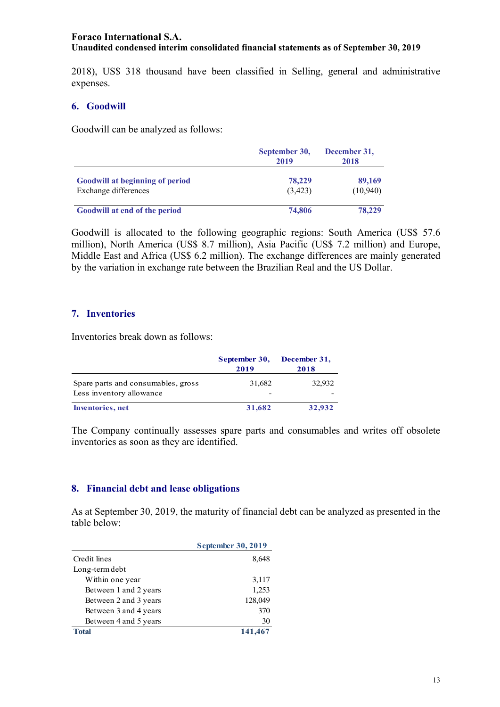2018), US\$ 318 thousand have been classified in Selling, general and administrative expenses.

#### **6. Goodwill**

Goodwill can be analyzed as follows:

|                                                                | September 30,<br>2019 | December 31,<br>2018 |  |
|----------------------------------------------------------------|-----------------------|----------------------|--|
| <b>Goodwill at beginning of period</b><br>Exchange differences | 78,229<br>(3,423)     | 89,169<br>(10,940)   |  |
| Goodwill at end of the period                                  | 74,806                | 78,229               |  |

Goodwill is allocated to the following geographic regions: South America (US\$ 57.6 million), North America (US\$ 8.7 million), Asia Pacific (US\$ 7.2 million) and Europe, Middle East and Africa (US\$ 6.2 million). The exchange differences are mainly generated by the variation in exchange rate between the Brazilian Real and the US Dollar.

#### **7. Inventories**

Inventories break down as follows:

|                                                                | September 30,<br>2019              | December 31,<br>2018 |
|----------------------------------------------------------------|------------------------------------|----------------------|
| Spare parts and consumables, gross<br>Less inventory allowance | 31,682<br>$\overline{\phantom{0}}$ | 32,932               |
| Inventories, net                                               | 31,682                             | 32,932               |

The Company continually assesses spare parts and consumables and writes off obsolete inventories as soon as they are identified.

#### **8. Financial debt and lease obligations**

As at September 30, 2019, the maturity of financial debt can be analyzed as presented in the table below:

|                       | <b>September 30, 2019</b> |
|-----------------------|---------------------------|
| Credit lines          | 8,648                     |
| Long-term debt        |                           |
| Within one year       | 3,117                     |
| Between 1 and 2 years | 1,253                     |
| Between 2 and 3 years | 128,049                   |
| Between 3 and 4 years | 370                       |
| Between 4 and 5 years | 30                        |
| Total                 | 141,467                   |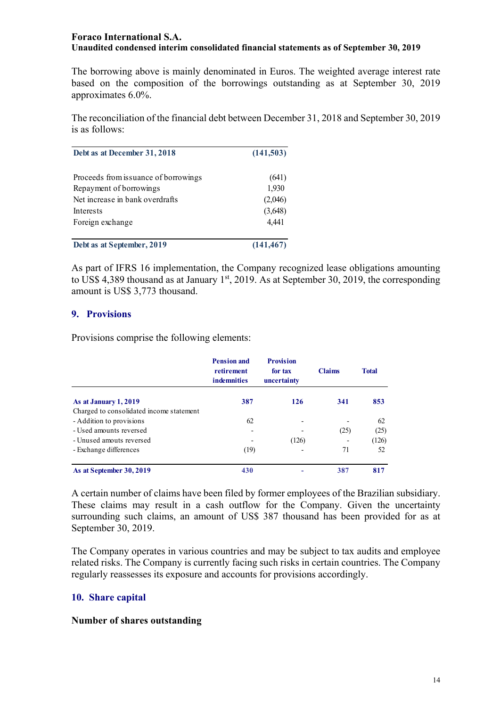The borrowing above is mainly denominated in Euros. The weighted average interest rate based on the composition of the borrowings outstanding as at September 30, 2019 approximates 6.0%.

The reconciliation of the financial debt between December 31, 2018 and September 30, 2019 is as follows:

| Debt as at December 31, 2018         | (141,503)  |  |
|--------------------------------------|------------|--|
| Proceeds from issuance of borrowings | (641)      |  |
| Repayment of borrowings              | 1,930      |  |
| Net increase in bank overdrafts      | (2,046)    |  |
| Interests                            | (3,648)    |  |
| Foreign exchange                     | 4,441      |  |
| Debt as at September, 2019           | (141, 467) |  |

As part of IFRS 16 implementation, the Company recognized lease obligations amounting to US\$ 4,389 thousand as at January  $1<sup>st</sup>$ , 2019. As at September 30, 2019, the corresponding amount is US\$ 3,773 thousand.

#### **9. Provisions**

Provisions comprise the following elements:

|                                          | <b>Pension and</b><br>retirement<br><b>indemnities</b> | <b>Provision</b><br>for tax<br>uncertainty | <b>Claims</b> | <b>Total</b> |
|------------------------------------------|--------------------------------------------------------|--------------------------------------------|---------------|--------------|
| As at January 1, 2019                    | 387                                                    | 126                                        | 341           | 853          |
| Charged to consolidated income statement |                                                        |                                            |               |              |
| - Addition to provisions                 | 62                                                     | $\overline{\phantom{a}}$                   |               | 62           |
| - Used amounts reversed                  |                                                        |                                            | (25)          | (25)         |
| - Unused amouts reversed                 |                                                        | (126)                                      |               | (126)        |
| - Exchange differences                   | (19)                                                   |                                            | 71            | 52           |
| As at September 30, 2019                 | 430                                                    |                                            | 387           | 817          |

A certain number of claims have been filed by former employees of the Brazilian subsidiary. These claims may result in a cash outflow for the Company. Given the uncertainty surrounding such claims, an amount of US\$ 387 thousand has been provided for as at September 30, 2019.

The Company operates in various countries and may be subject to tax audits and employee related risks. The Company is currently facing such risks in certain countries. The Company regularly reassesses its exposure and accounts for provisions accordingly.

### **10. Share capital**

#### **Number of shares outstanding**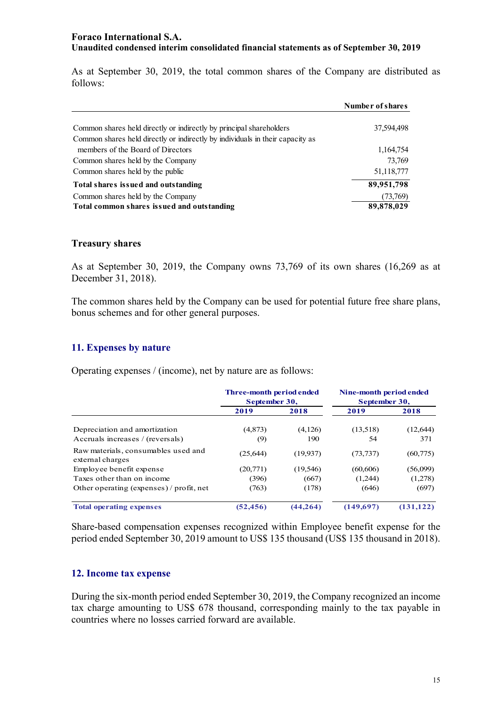As at September 30, 2019, the total common shares of the Company are distributed as follows:

|                                                                               | Number of shares |
|-------------------------------------------------------------------------------|------------------|
|                                                                               |                  |
| Common shares held directly or indirectly by principal shareholders           | 37,594,498       |
| Common shares held directly or indirectly by individuals in their capacity as |                  |
| members of the Board of Directors                                             | 1,164,754        |
| Common shares held by the Company                                             | 73,769           |
| Common shares held by the public                                              | 51,118,777       |
| Total shares issued and outstanding                                           | 89,951,798       |
| Common shares held by the Company                                             | (73,769)         |
| Total common shares issued and outstanding                                    | 89,878,029       |

#### **Treasury shares**

As at September 30, 2019, the Company owns 73,769 of its own shares (16,269 as at December 31, 2018).

The common shares held by the Company can be used for potential future free share plans, bonus schemes and for other general purposes.

#### **11. Expenses by nature**

Operating expenses / (income), net by nature are as follows:

|                                                                   | <b>Three-month period ended</b><br>September 30, |                | Nine-month period ended<br>September 30, |                  |
|-------------------------------------------------------------------|--------------------------------------------------|----------------|------------------------------------------|------------------|
|                                                                   | 2019                                             | 2018           | 2019                                     | 2018             |
| Depreciation and amortization<br>Accruals increases / (reversals) | (4,873)<br>(9)                                   | (4,126)<br>190 | (13,518)<br>54                           | (12, 644)<br>371 |
| Raw materials, consumables used and<br>external charges           | (25, 644)                                        | (19,937)       | (73, 737)                                | (60, 775)        |
| Employee benefit expense                                          | (20,771)                                         | (19, 546)      | (60, 606)                                | (56,099)         |
| Taxes other than on income                                        | (396)                                            | (667)          | (1,244)                                  | (1,278)          |
| Other operating (expenses) / profit, net                          | (763)                                            | (178)          | (646)                                    | (697)            |
| <b>Total operating expenses</b>                                   | (52, 456)                                        | (44, 264)      | (149.697)                                | (131, 122)       |

Share-based compensation expenses recognized within Employee benefit expense for the period ended September 30, 2019 amount to US\$ 135 thousand (US\$ 135 thousand in 2018).

#### **12. Income tax expense**

During the six-month period ended September 30, 2019, the Company recognized an income tax charge amounting to US\$ 678 thousand, corresponding mainly to the tax payable in countries where no losses carried forward are available.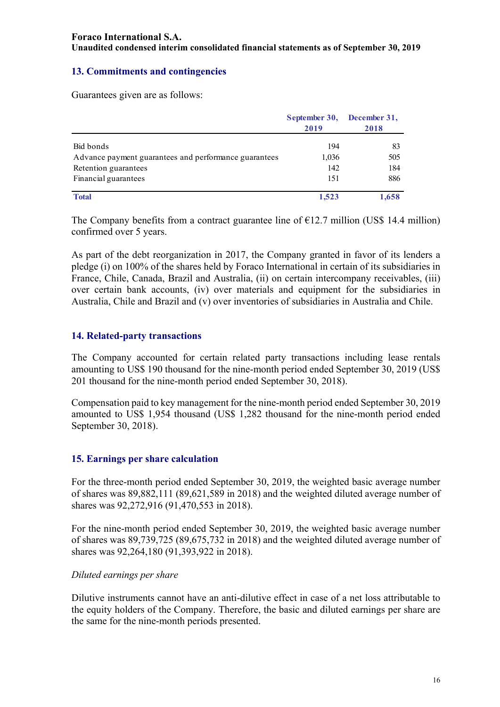## **13. Commitments and contingencies**

Guarantees given are as follows:

|                                                       | September 30, December 31, |       |  |
|-------------------------------------------------------|----------------------------|-------|--|
|                                                       | 2019                       | 2018  |  |
| Bid bonds                                             | 194                        | 83    |  |
|                                                       |                            |       |  |
| Advance payment guarantees and performance guarantees | 1,036                      | 505   |  |
| Retention guarantees                                  | 142                        | 184   |  |
| Financial guarantees                                  | 151                        | 886   |  |
| <b>Total</b>                                          | 1,523                      | 1,658 |  |

The Company benefits from a contract guarantee line of  $E12.7$  million (US\$ 14.4 million) confirmed over 5 years.

As part of the debt reorganization in 2017, the Company granted in favor of its lenders a pledge (i) on 100% of the shares held by Foraco International in certain of its subsidiaries in France, Chile, Canada, Brazil and Australia, (ii) on certain intercompany receivables, (iii) over certain bank accounts, (iv) over materials and equipment for the subsidiaries in Australia, Chile and Brazil and (v) over inventories of subsidiaries in Australia and Chile.

## **14. Related-party transactions**

The Company accounted for certain related party transactions including lease rentals amounting to US\$ 190 thousand for the nine-month period ended September 30, 2019 (US\$ 201 thousand for the nine-month period ended September 30, 2018).

Compensation paid to key management for the nine-month period ended September 30, 2019 amounted to US\$ 1,954 thousand (US\$ 1,282 thousand for the nine-month period ended September 30, 2018).

## **15. Earnings per share calculation**

For the three-month period ended September 30, 2019, the weighted basic average number of shares was 89,882,111 (89,621,589 in 2018) and the weighted diluted average number of shares was 92,272,916 (91,470,553 in 2018).

For the nine-month period ended September 30, 2019, the weighted basic average number of shares was 89,739,725 (89,675,732 in 2018) and the weighted diluted average number of shares was 92,264,180 (91,393,922 in 2018).

### *Diluted earnings per share*

Dilutive instruments cannot have an anti-dilutive effect in case of a net loss attributable to the equity holders of the Company. Therefore, the basic and diluted earnings per share are the same for the nine-month periods presented.